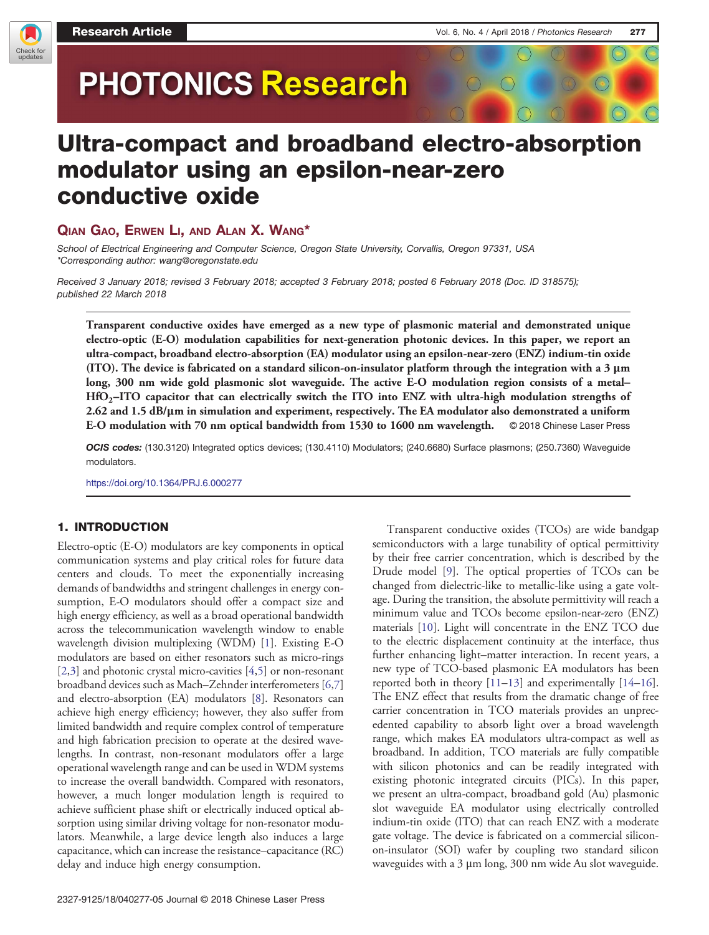

# **PHOTONICS Research**

## Ultra-compact and broadband electro-absorption modulator using an epsilon-near-zero conductive oxide

ر .<br>School of Electrical Engineering and Computer Science, Oregon State University, Corvallis, Oregon 97331, USA \*Corresponding author: [wang@oregonstate.edu](mailto:wang@oregonstate.edu)

Received 3 January 2018; revised 3 February 2018; accepted 3 February 2018; posted 6 February 2018 (Doc. ID 318575); published 22 March 2018

Transparent conductive oxides have emerged as a new type of plasmonic material and demonstrated unique electro-optic (E-O) modulation capabilities for next-generation photonic devices. In this paper, we report an ultra-compact, broadband electro-absorption (EA) modulator using an epsilon-near-zero (ENZ) indium-tin oxide (ITO). The device is fabricated on a standard silicon-on-insulator platform through the integration with a 3 μm ultra-compact, broadband electro-absorption (EA) modulator using an epsilon-near-zero (ENZ) indium-tin oxide<br>(ITO). The device is fabricated on a standard silicon-on-insulator platform through the integration with a 3 μm<br> long, 300 nm wide gold plasmonic slot waveguide. The active E-O modulation region consists of a metal–HfO<sub>2</sub>–ITO capacitor that can electrically switch the ITO into ENZ with ultra-high modulation strengths of 2.62 and 1.5 dB/μm in simulation and experiment, respectively. The EA modulator also demonstrated a uniform E-O modulation with 70 nm optical bandwidth from 1530 to 1600 nm wavelength. © 2018 Chinese Laser Press

OCIS codes: (130.3120) Integrated optics devices; (130.4110) Modulators; (240.6680) Surface plasmons; (250.7360) Waveguide modulators.

<https://doi.org/10.1364/PRJ.6.000277>

### 1. INTRODUCTION

Electro-optic (E-O) modulators are key components in optical communication systems and play critical roles for future data centers and clouds. To meet the exponentially increasing demands of bandwidths and stringent challenges in energy consumption, E-O modulators should offer a compact size and high energy efficiency, as well as a broad operational bandwidth across the telecommunication wavelength window to enable wavelength division multiplexing (WDM) [\[1](#page-4-0)]. Existing E-O modulators are based on either resonators such as micro-rings [\[2](#page-4-0),[3\]](#page-4-0) and photonic crystal micro-cavities [\[4](#page-4-0),[5\]](#page-4-0) or non-resonant broadband devices such as Mach–Zehnder interferometers [\[6](#page-4-0),[7\]](#page-4-0) and electro-absorption (EA) modulators [[8\]](#page-4-0). Resonators can achieve high energy efficiency; however, they also suffer from limited bandwidth and require complex control of temperature and high fabrication precision to operate at the desired wavelengths. In contrast, non-resonant modulators offer a large operational wavelength range and can be used in WDM systems to increase the overall bandwidth. Compared with resonators, however, a much longer modulation length is required to achieve sufficient phase shift or electrically induced optical absorption using similar driving voltage for non-resonator modulators. Meanwhile, a large device length also induces a large capacitance, which can increase the resistance–capacitance (RC) delay and induce high energy consumption.

2327-9125/18/040277-05 Journal © 2018 Chinese Laser Press

Transparent conductive oxides (TCOs) are wide bandgap semiconductors with a large tunability of optical permittivity by their free carrier concentration, which is described by the Drude model [[9\]](#page-4-0). The optical properties of TCOs can be changed from dielectric-like to metallic-like using a gate voltage. During the transition, the absolute permittivity will reach a minimum value and TCOs become epsilon-near-zero (ENZ) materials [[10\]](#page-4-0). Light will concentrate in the ENZ TCO due to the electric displacement continuity at the interface, thus further enhancing light–matter interaction. In recent years, a new type of TCO-based plasmonic EA modulators has been reported both in theory [\[11](#page-4-0)–[13](#page-4-0)] and experimentally [\[14](#page-4-0)–[16](#page-4-0)]. The ENZ effect that results from the dramatic change of free carrier concentration in TCO materials provides an unprecedented capability to absorb light over a broad wavelength range, which makes EA modulators ultra-compact as well as broadband. In addition, TCO materials are fully compatible with silicon photonics and can be readily integrated with existing photonic integrated circuits (PICs). In this paper, we present an ultra-compact, broadband gold (Au) plasmonic slot waveguide EA modulator using electrically controlled indium-tin oxide (ITO) that can reach ENZ with a moderate gate voltage. The device is fabricated on a commercial siliconon-insulator (SOI) wafer by coupling two standard silicon waveguides with a 3 μm long, 300 nm wide Au slot waveguide.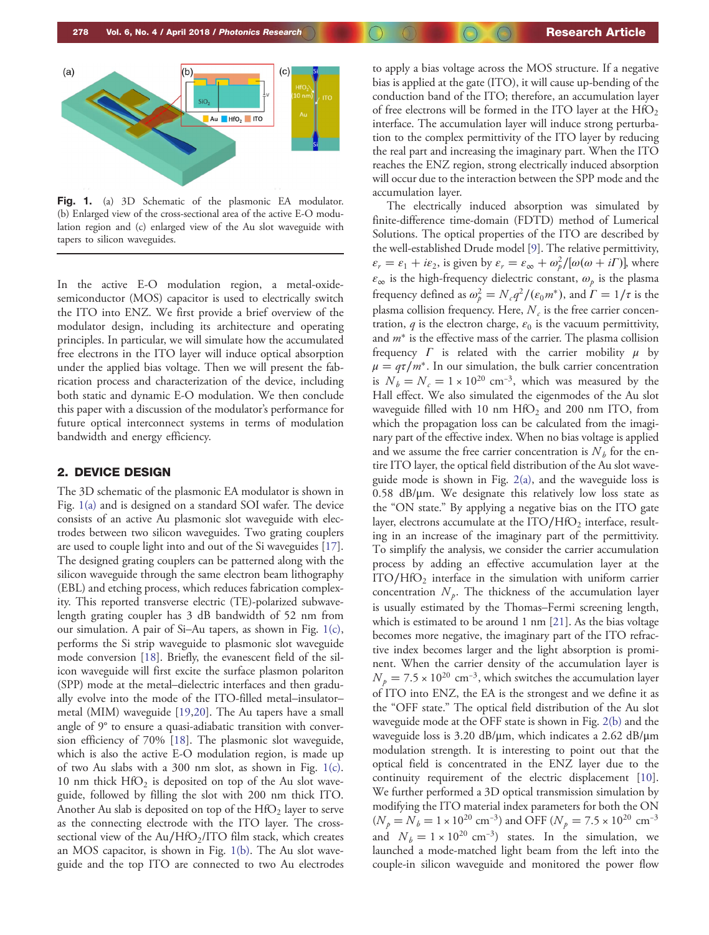

Fig. 1. (a) 3D Schematic of the plasmonic EA modulator. (b) Enlarged view of the cross-sectional area of the active E-O modulation region and (c) enlarged view of the Au slot waveguide with tapers to silicon waveguides.

In the active E-O modulation region, a metal-oxidesemiconductor (MOS) capacitor is used to electrically switch the ITO into ENZ. We first provide a brief overview of the modulator design, including its architecture and operating principles. In particular, we will simulate how the accumulated free electrons in the ITO layer will induce optical absorption under the applied bias voltage. Then we will present the fabrication process and characterization of the device, including both static and dynamic E-O modulation. We then conclude this paper with a discussion of the modulator's performance for future optical interconnect systems in terms of modulation bandwidth and energy efficiency.

#### 2. DEVICE DESIGN

The 3D schematic of the plasmonic EA modulator is shown in Fig. 1(a) and is designed on a standard SOI wafer. The device consists of an active Au plasmonic slot waveguide with electrodes between two silicon waveguides. Two grating couplers are used to couple light into and out of the Si waveguides [\[17](#page-4-0)]. The designed grating couplers can be patterned along with the silicon waveguide through the same electron beam lithography (EBL) and etching process, which reduces fabrication complexity. This reported transverse electric (TE)-polarized subwavelength grating coupler has 3 dB bandwidth of 52 nm from our simulation. A pair of Si–Au tapers, as shown in Fig. 1(c), performs the Si strip waveguide to plasmonic slot waveguide mode conversion [[18\]](#page-4-0). Briefly, the evanescent field of the silicon waveguide will first excite the surface plasmon polariton (SPP) mode at the metal–dielectric interfaces and then gradually evolve into the mode of the ITO-filled metal–insulator– metal (MIM) waveguide [[19,20](#page-4-0)]. The Au tapers have a small angle of 9° to ensure a quasi-adiabatic transition with conversion efficiency of 70% [[18\]](#page-4-0). The plasmonic slot waveguide, which is also the active E-O modulation region, is made up of two Au slabs with a 300 nm slot, as shown in Fig. 1(c). 10 nm thick  $HfO<sub>2</sub>$  is deposited on top of the Au slot waveguide, followed by filling the slot with 200 nm thick ITO. Another Au slab is deposited on top of the  $HfO<sub>2</sub>$  layer to serve as the connecting electrode with the ITO layer. The crosssectional view of the Au/HfO<sub>2</sub>/ITO film stack, which creates an MOS capacitor, is shown in Fig. 1(b). The Au slot waveguide and the top ITO are connected to two Au electrodes to apply a bias voltage across the MOS structure. If a negative bias is applied at the gate (ITO), it will cause up-bending of the conduction band of the ITO; therefore, an accumulation layer of free electrons will be formed in the ITO layer at the  $HfO<sub>2</sub>$ interface. The accumulation layer will induce strong perturbation to the complex permittivity of the ITO layer by reducing the real part and increasing the imaginary part. When the ITO reaches the ENZ region, strong electrically induced absorption will occur due to the interaction between the SPP mode and the accumulation layer.

The electrically induced absorption was simulated by finite-difference time-domain (FDTD) method of Lumerical Solutions. The optical properties of the ITO are described by the well-established Drude model [[9\]](#page-4-0). The relative permittivity,  $\varepsilon_r = \varepsilon_1 + i\varepsilon_2$ , is given by  $\varepsilon_r = \varepsilon_\infty + \omega_p^2/[\omega(\omega + i\Gamma)]$ , where  $\varepsilon_{\infty}$  is the high-frequency dielectric constant,  $\omega_p$  is the plasma frequency defined as  $\omega_p^2 = N_c q^2 / (\varepsilon_0 m^*)$ , and  $\Gamma = 1/\tau$  is the plasma collision frequency. Here,  $N_c$  is the free carrier concentration,  $q$  is the electron charge,  $\varepsilon_0$  is the vacuum permittivity, and  $m^*$  is the effective mass of the carrier. The plasma collision frequency  $\Gamma$  is related with the carrier mobility  $\mu$  by  $\mu = q\tau/m^*$ . In our simulation, the bulk carrier concentration is  $N_b = N_c = 1 \times 10^{20}$  cm<sup>-3</sup>, which was measured by the Hall effect. We also simulated the eigenmodes of the Au slot waveguide filled with 10 nm  $HfO<sub>2</sub>$  and 200 nm ITO, from which the propagation loss can be calculated from the imaginary part of the effective index. When no bias voltage is applied and we assume the free carrier concentration is  $N_b$  for the entire ITO layer, the optical field distribution of the Au slot waveguide mode is shown in Fig. [2\(a\)](#page-2-0), and the waveguide loss is  $0.58$  dB/ $\mu$ m. We designate this relatively low loss state as the "ON state." By applying a negative bias on the ITO gate layer, electrons accumulate at the  $ITO/HfO<sub>2</sub>$  interface, resulting in an increase of the imaginary part of the permittivity. To simplify the analysis, we consider the carrier accumulation process by adding an effective accumulation layer at the ITO/HfO<sub>2</sub> interface in the simulation with uniform carrier concentration  $N_p$ . The thickness of the accumulation layer is usually estimated by the Thomas–Fermi screening length, which is estimated to be around 1 nm [\[21](#page-4-0)]. As the bias voltage becomes more negative, the imaginary part of the ITO refractive index becomes larger and the light absorption is prominent. When the carrier density of the accumulation layer is  $N_p = 7.5 \times 10^{20}$  cm<sup>-3</sup>, which switches the accumulation layer of ITO into ENZ, the EA is the strongest and we define it as the "OFF state." The optical field distribution of the Au slot waveguide mode at the OFF state is shown in Fig. [2\(b\)](#page-2-0) and the waveguide loss is 3.20 dB/μm, which indicates a 2.62 dB/μm modulation strength. It is interesting to point out that the optical field is concentrated in the ENZ layer due to the continuity requirement of the electric displacement [\[10](#page-4-0)]. We further performed a 3D optical transmission simulation by modifying the ITO material index parameters for both the ON  $(N_p = N_b = 1 \times 10^{20} \text{ cm}^{-3})$  and OFF  $(N_p = 7.5 \times 10^{20} \text{ cm}^{-3})$ and  $N_b = 1 \times 10^{20}$  cm<sup>-3</sup>) states. In the simulation, we launched a mode-matched light beam from the left into the couple-in silicon waveguide and monitored the power flow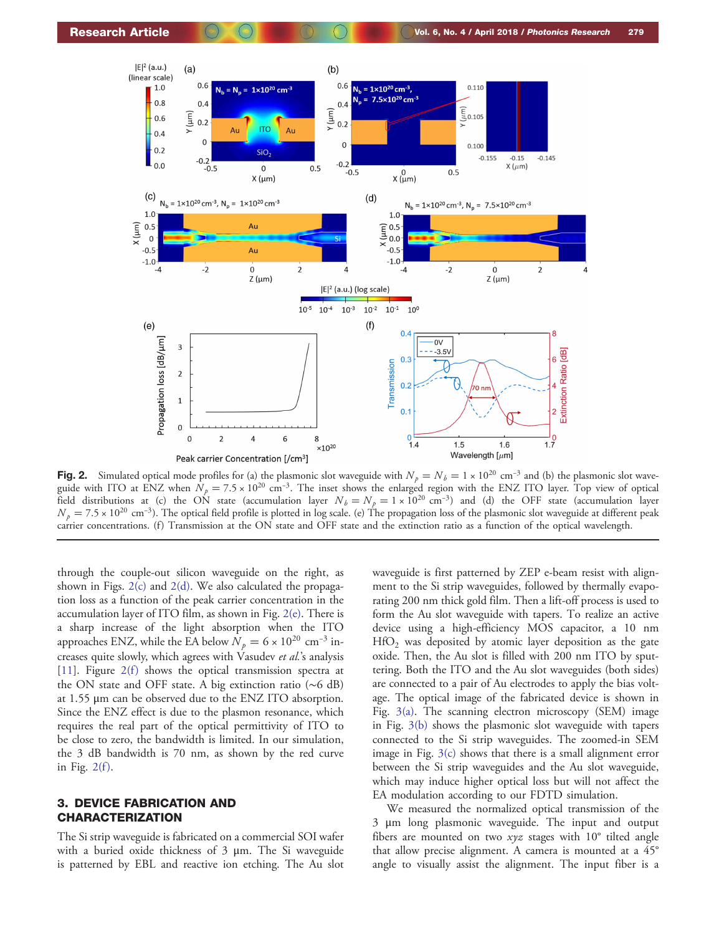<span id="page-2-0"></span>

Fig. 2. Simulated optical mode profiles for (a) the plasmonic slot waveguide with  $N_p = N_b = 1 \times 10^{20}$  cm<sup>-3</sup> and (b) the plasmonic slot waveguide with ITO at ENZ when  $N_p = 7.5 \times 10^{20}$  cm<sup>-3</sup>. The inset shows the enlarged region with the ENZ ITO layer. Top view of optical field distributions at (c) the ON state (accumulation layer  $N_b = N_p = 1 \times 10^{20} \text{ cm}^{-3}$ ) and (d) the OFF state (accumulation layer  $N_p = 7.5 \times 10^{20} \text{ cm}^{-3}$ ). The optical field profile is plotted in log scale. (e) The propagation loss of the plasmonic slot waveguide at different peak carrier concentrations. (f) Transmission at the ON state and OFF state and the extinction ratio as a function of the optical wavelength.

through the couple-out silicon waveguide on the right, as shown in Figs. 2(c) and 2(d). We also calculated the propagation loss as a function of the peak carrier concentration in the accumulation layer of ITO film, as shown in Fig. 2(e). There is a sharp increase of the light absorption when the ITO approaches ENZ, while the EA below  $N_p = 6 \times 10^{20}$  cm<sup>-3</sup> increases quite slowly, which agrees with Vasudev et al.'s analysis [\[11](#page-4-0)]. Figure  $2(f)$  shows the optical transmission spectra at the ON state and OFF state. A big extinction ratio (∼6 dB) at 1.55 μm can be observed due to the ENZ ITO absorption. Since the ENZ effect is due to the plasmon resonance, which requires the real part of the optical permittivity of ITO to be close to zero, the bandwidth is limited. In our simulation, the 3 dB bandwidth is 70 nm, as shown by the red curve in Fig.  $2(f)$ .

#### 3. DEVICE FABRICATION AND CHARACTERIZATION

The Si strip waveguide is fabricated on a commercial SOI wafer with a buried oxide thickness of 3 μm. The Si waveguide is patterned by EBL and reactive ion etching. The Au slot

waveguide is first patterned by ZEP e-beam resist with alignment to the Si strip waveguides, followed by thermally evaporating 200 nm thick gold film. Then a lift-off process is used to form the Au slot waveguide with tapers. To realize an active device using a high-efficiency MOS capacitor, a 10 nm  $HfO<sub>2</sub>$  was deposited by atomic layer deposition as the gate oxide. Then, the Au slot is filled with 200 nm ITO by sputtering. Both the ITO and the Au slot waveguides (both sides) are connected to a pair of Au electrodes to apply the bias voltage. The optical image of the fabricated device is shown in Fig. [3\(a\)](#page-3-0). The scanning electron microscopy (SEM) image in Fig. [3\(b\)](#page-3-0) shows the plasmonic slot waveguide with tapers connected to the Si strip waveguides. The zoomed-in SEM image in Fig. [3\(c\)](#page-3-0) shows that there is a small alignment error between the Si strip waveguides and the Au slot waveguide, which may induce higher optical loss but will not affect the EA modulation according to our FDTD simulation.

We measured the normalized optical transmission of the 3 μm long plasmonic waveguide. The input and output fibers are mounted on two  $xyz$  stages with 10 $^{\circ}$  tilted angle that allow precise alignment. A camera is mounted at a 45° angle to visually assist the alignment. The input fiber is a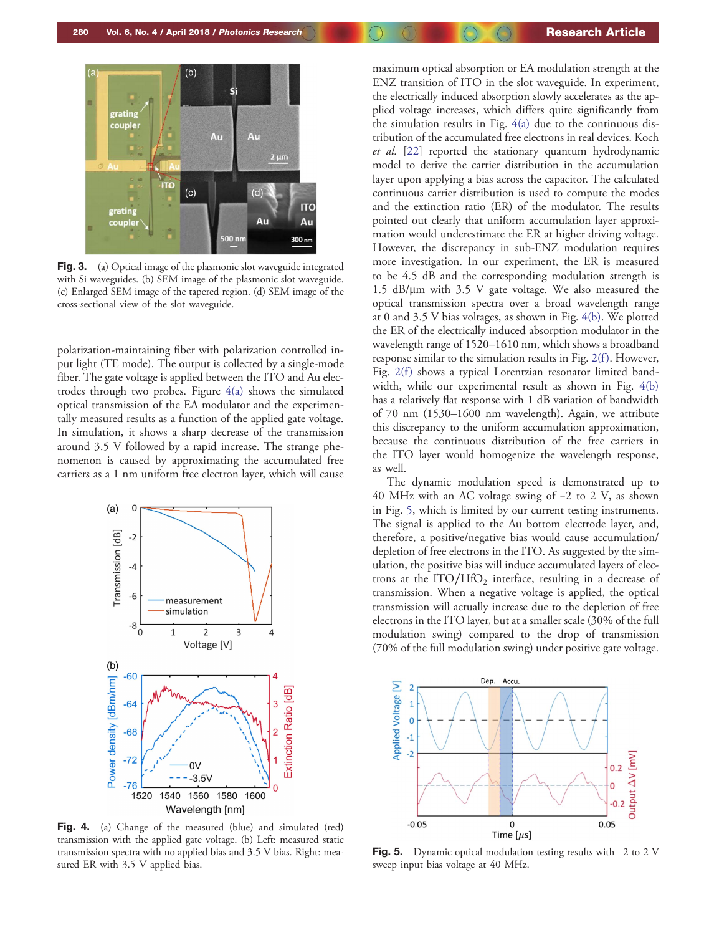<span id="page-3-0"></span>

Fig. 3. (a) Optical image of the plasmonic slot waveguide integrated with Si waveguides. (b) SEM image of the plasmonic slot waveguide. (c) Enlarged SEM image of the tapered region. (d) SEM image of the cross-sectional view of the slot waveguide.

polarization-maintaining fiber with polarization controlled input light (TE mode). The output is collected by a single-mode fiber. The gate voltage is applied between the ITO and Au electrodes through two probes. Figure  $4(a)$  shows the simulated optical transmission of the EA modulator and the experimentally measured results as a function of the applied gate voltage. In simulation, it shows a sharp decrease of the transmission around 3.5 V followed by a rapid increase. The strange phenomenon is caused by approximating the accumulated free carriers as a 1 nm uniform free electron layer, which will cause



Fig. 4. (a) Change of the measured (blue) and simulated (red) transmission with the applied gate voltage. (b) Left: measured static transmission spectra with no applied bias and 3.5 V bias. Right: measured ER with 3.5 V applied bias.

maximum optical absorption or EA modulation strength at the ENZ transition of ITO in the slot waveguide. In experiment, the electrically induced absorption slowly accelerates as the applied voltage increases, which differs quite significantly from the simulation results in Fig. 4(a) due to the continuous distribution of the accumulated free electrons in real devices. Koch et al. [[22\]](#page-4-0) reported the stationary quantum hydrodynamic model to derive the carrier distribution in the accumulation layer upon applying a bias across the capacitor. The calculated continuous carrier distribution is used to compute the modes and the extinction ratio (ER) of the modulator. The results pointed out clearly that uniform accumulation layer approximation would underestimate the ER at higher driving voltage. However, the discrepancy in sub-ENZ modulation requires more investigation. In our experiment, the ER is measured to be 4.5 dB and the corresponding modulation strength is 1.5 dB/μm with 3.5 V gate voltage. We also measured the optical transmission spectra over a broad wavelength range at 0 and 3.5 V bias voltages, as shown in Fig. 4(b). We plotted the ER of the electrically induced absorption modulator in the wavelength range of 1520–1610 nm, which shows a broadband response similar to the simulation results in Fig. 2(f). However, Fig.  $2(f)$  shows a typical Lorentzian resonator limited bandwidth, while our experimental result as shown in Fig. 4(b) has a relatively flat response with 1 dB variation of bandwidth of 70 nm (1530–1600 nm wavelength). Again, we attribute this discrepancy to the uniform accumulation approximation, because the continuous distribution of the free carriers in the ITO layer would homogenize the wavelength response, as well.

The dynamic modulation speed is demonstrated up to 40 MHz with an AC voltage swing of −2 to 2 V, as shown in Fig. 5, which is limited by our current testing instruments. The signal is applied to the Au bottom electrode layer, and, therefore, a positive/negative bias would cause accumulation/ depletion of free electrons in the ITO. As suggested by the simulation, the positive bias will induce accumulated layers of electrons at the  $ITO/HfO<sub>2</sub>$  interface, resulting in a decrease of transmission. When a negative voltage is applied, the optical transmission will actually increase due to the depletion of free electrons in the ITO layer, but at a smaller scale (30% of the full modulation swing) compared to the drop of transmission (70% of the full modulation swing) under positive gate voltage.



Fig. 5. Dynamic optical modulation testing results with <sup>−</sup><sup>2</sup> to 2 V sweep input bias voltage at 40 MHz.